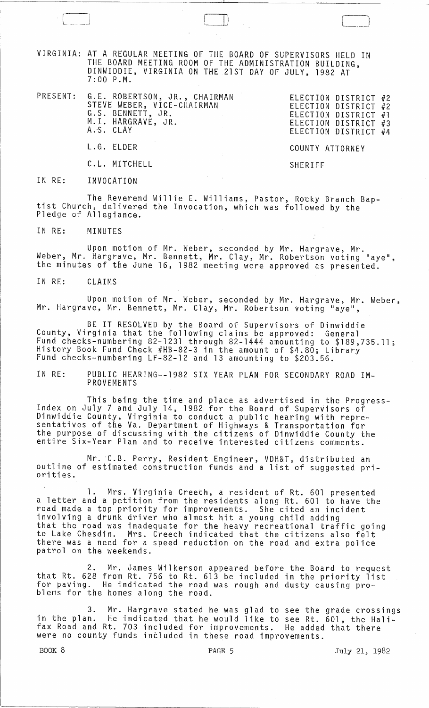VIRGINIA: AT A REGULAR MEETING OF THE BOARD OF SUPERVISORS HELD IN THE BOARD MEETING ROOM OF THE ADMINISTRATION BUILDING, DINWIDDIE, VIRGINIA ON THE 21ST DAY OF JULY, 1982 AT 7:00 P.M.

PRESENT: G.E. ROBERTSON, JR., CHAIRMAN STEVE WEBER, VICE-CHAIRMAN G.S. BENNETT, JR. M.1. HARGRAVE, JR. A.S. CLAY

ELECTION DISTRICT #2 ELECTION DISTRICT #2 ELECTION DISTRICT #1 ELECTION DISTRICT #3 ELECTION DISTRICT #4

L.G. ELDER

C.L. MITCHELL

SHERIFF

COUNTY ATTORNEY

 $\Box$ 

IN RE: INVOCATION

The Reverend Willie E. Williams, Pastor, Rocky Branch Bap- tist Church, delivered the Invocation, which was followed by the Pledge of Allegiance.

IN RE: MINUTES

Upon motion of Mr. Weber, seconded by Mr. Hargrave, Mr. Weber, Mr. Hargrave, Mr. Bennett, Mr. Clay, Mr. Robertson voting "aye", the minutes of the June 16, 1982 meeting were approved as presented.

IN RE: CLAIMS

Upon motion of Mr. Weber, seconded by Mr. Hargrave, Mr. Weber, Mr. Hargrave, Mr. Bennett, Mr. Clay, Mr. Robertson voting "aye",

BE IT RESOLVED by the Board of Supervisors of Dinwiddie County, Virginia that the following claims be approved: General Fund checks-numbering 82-1231 through 82-1444 amounting to \$189,735.11; History Book Fund Check #HB-82-3 in the amount of \$4.80; Library<br>Fund checks-numbering LF-82-12 and 13 amounting to \$203.56.

IN RE: PUBLIC HEARING--1982 SIX YEAR PLAN FOR SECONDARY ROAD IM-PROVEMENTS

This being the time and place as advertised in the Progress- Index on July 7 and July 14, 1982 for the Board of Supervisors of Dinwiddie County, Virginia to conduct a public hearing with repre-<br>sentatives of the Va. Department of Highways & Transportation for the purpose of discussing with the citizens of Dinwiddie County the entire Six-Year Plan and to receive interested citizens comments.

Mr. C.B. Perry, Resident Engineer, VDH&T, distributed an outline of estimated construction funds and a list of suggested pri- orities.

1. Mrs. Virginia Creech, a resident of Rt. 601 presented a letter and a petition from the residents along Rt. 601 to have the road made a top priority for improvements. She cited an incident involving a drunk driver who almost hit a young child adding that the road was inadequate for the heavy recreational traffic going to Lake Chesdin. Mrs. Creech indicated that the citizens also felt there was a need for a speed reduction on the road and extra police<br>patrol on the weekends.

2. Mr. James Wilkerson appeared before the Board to request<br>that Rt. 628 from Rt. 756 to Rt. 613 be included in the priority list for paving. He indicated the road was rough and dusty causing pro-<br>blems for the homes along the road.

3. Mr. Hargrave stated he was glad to see the grade crossings in the plan. He indicated that he would like to see Rt. 601, the Halifax Road and Rt. 703 included for improvements. He added that there were no county funds included in these road improvements.

BOOK 8 **PAGE 5** PAGE 5 July 21, 1982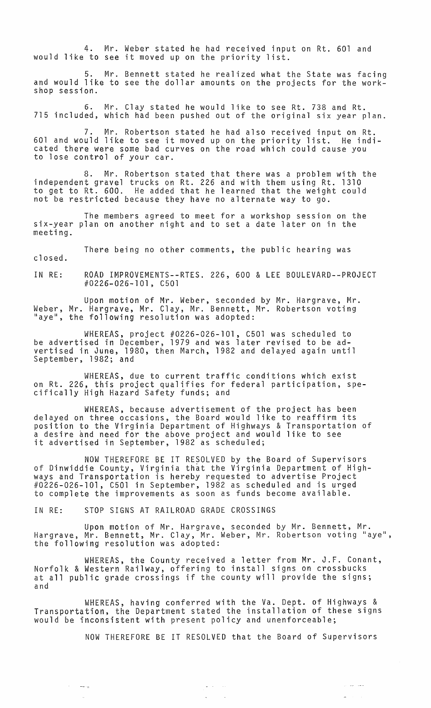4. Mr. Weber stated he had received input on Rt. 601 and would like to see it moved up on the priority list.

5. Mr. Bennett stated he realized what the State was facing and would like to see the dollar amounts on the projects for the workshop session.

6. Mr. Clay stated he would like to see Rt. 738 and Rt. 715 included, which had been pushed out of the original six year plan.

Mr. Robertson stated he had also received input on Rt. 601 and would like to see it moved up on the priority list. He indicated there were some bad curves on the road which could cause you to lose control of your car.

8. Mr. Robertson stated that there was a problem with the independent gravel trucks on Rt. 226 and with them using Rt. 1310 to get to Rt. 600. He added that he learned that the weight could not be restricted because they have no alternate way to go.

The members agreed to meet for a workshop session on the six-year plan on another night and to set a date later on in the meeting.

There being no other comments, the public hearing was

closed.

and the second

 $\sim$ 

IN RE: ROAD IMPROVEMENTS--RTES. 226, 600 & LEE BOULEVARD--PROJECT #0226-026-101, C501

Upon motion of Mr. Weber, seconded by Mr. Hargrave, Mr. Weber, Mr. Hargrave, Mr. Clay, Mr. Bennett, Mr. Robertson voting "aye", the following resolution was adopted:

WHEREAS, project #0226-026-101, C501 was scheduled to be advertised in December, 1979 and was later revised to be advertised in June, 1980, then March, 1982 and delayed again until September, 1982; and

WHEREAS, due to current traffic conditions which exist on Rt. 226, this project qualifies for federal participation, spe- cifically High Hazard Safety funds; and

WHEREAS, because advertisement of the project has been delayed on three occasions, the Board would like to reaffirm its position to the Virginia Department of Highways & Transportation of a desire and need for the above project and would like to see a desire and need for the above project and wo<br>it advertised in September, 1982 as scheduled;

NOW THEREFORE BE IT RESOLVED by the Board of Supervisors of Dinwiddie County, Virginia that the Virginia Department of Highways and Transportation is hereby requested to advertise Project #0226-026-101, C501 in September, 1982 as scheduled and is urged to complete the improvements as soon as funds become available.

IN RE: STOP SIGNS AT RAILROAD GRADE CROSSINGS

Upon motion of Mr. Hargrave, seconded by Mr. Bennett, Mr. Hargrave, Mr. Bennett, Mr. Clay, Mr. Weber, Mr. Robertson voting "aye", the following resolution was adopted:

WHEREAS, the County received a letter from Mr. J.F. Conant, Norfolk & Western Railway, offering to install signs on crossbucks at all public grade crossings if the county will provide the signs; and

WHEREAS, having conferred with the Va. Dept. of Highways & Transportation, the Department stated the installation of these signs would be inconsistent with present policy and unenforceable;

> $\omega_{\rm{max}}=1.5$  $\mathcal{L}^{\mathcal{L}}$

 $\sim$ 

NOW THEREFORE BE IT RESOLVED that the Board of Supervisors

بالمداريد المداري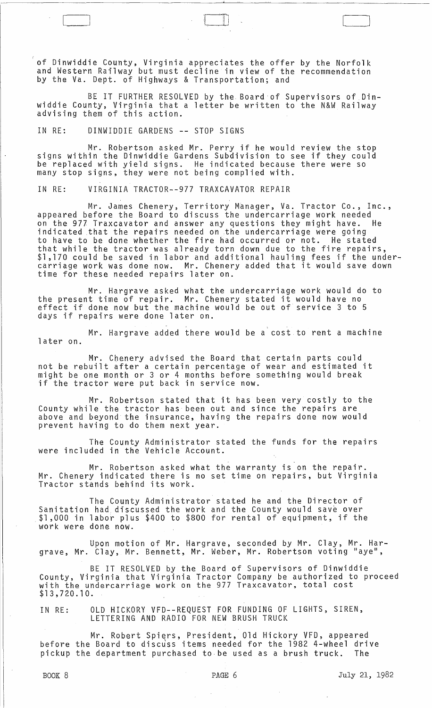of Dinwiddie County, Virginia appreciates the offer by the Norfolk and Western Railway but must decline in view of the recommendation by the Va. Dept. of Highways & Transportation; and

 $\Box$ 

BE IT FURTHER RESOLVED by the Board of Supervisors of Dinwiddie County, Virginia that a letter be written to the N&W Railway advising them of this action.

IN RE: DINWIDDIE GARDENS **--** STOP SIGNS

Mr. Robertson asked Mr. Perry if he would review the stop signs within the Dinwiddie Gardens Subdivision to see if they could be replaced with yield signs. He indicated because there were so many stop signs, they were not being complied with.

IN RE: VIRGINIA TRACTOR--977 TRAXCAVATOR REPAIR

Mr. James Chenery, Territory Manager, Va. Tractor Co., Inc., appeared before the Board to discuss the undercarriage work needed on the 977 Traxcavator and answer any questions they might have. He indicated that the repairs needed on the undercarriage were going to have to be done whether the fire had occurred or not. He stated that while the tractor was already torn down due to the fire repairs,<br>\$1,170 could be saved in labor and additional hauling fees if the undercarriage work was done now. Mr. Chenery added that it would save down time for these needed repairs later on.

Mr. Hargrave asked what the undercarriage work would do to the present time of repair. Mr. Chenery stated it would have no effect if done now but the machine would be out of service 3 to 5 days if repairs were done later on.

Mr. Hargrave added there would be a cost to rent a machine later on.

Mr. Chenery advised the Board that certain parts could not be rebuilt after a certain percentage of wear and estimated it might be one month or 3 or 4 months before something would break if the tractor were put back in service now.

Mr. Robertson stated that it has been very costly to the County while the tractor has been out and since the repairs are above and beyond the insurance, having the repairs done now would prevent having to do them next year.

The County Administrator stated the funds for the repairs were included in the Vehicle Account.

Mr. Robertson asked what the warranty is on the repair. Mr. Chenery indicated there is no set time on repairs, but Virginia Tractor stands behind its work.

The County Administrator stated he and the Director of Sanitation had discussed the work and the County would save over \$1,000 in labor plus \$400 to \$800 for rental of equipment, if the work were done now.

Upon motion of Mr. Hargrave, seconded by Mr. Clay, Mr. Hargrave, Mr. Clay, Mr. Bennett, Mr. Weber, Mr. Robertson voting "aye",

BE IT RESOLVED by the Board of Supervisors of Dinwiddie County, Virginia that Virginia Tractor Company be authorized to proceed with the undercarriage work on the 977 Traxcavator, total cost \$13,720.10.

IN RE: OLD HICKORY VFD--REQUEST FOR FUNDING OF LIGHTS, SIREN, LETTERING AND RADIO FOR NEW BRUSH TRUCK

Mr. Robert Spiers, President, Old Hickory VFD, appeared before the Board to discuss items needed for the 1982 4-wheel drive pickup the department purchased to be used as a brush truck. The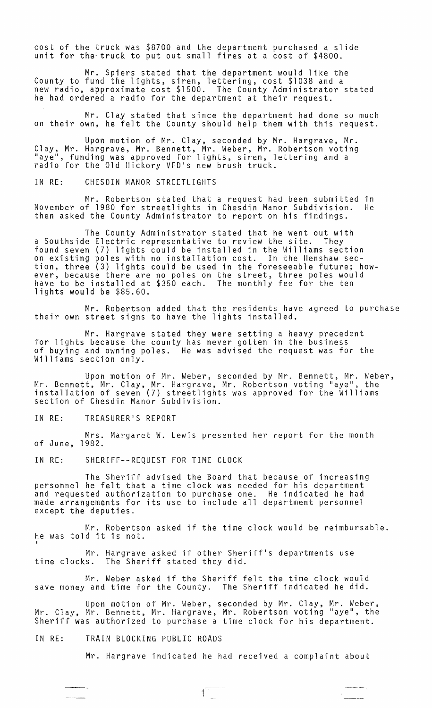cost of the truck was \$8700 and the department purchased a slide unit for the- truck to put out small fires at a cost of \$4800.

Mr. Spiers stated that the department would like the County to fund tne lights, siren, lettering, cost \$1038 and a new radio, approximate cost \$1500. The County Administrator stated he had ordered a radio for the department at their request.

Mr. Clay stated that since the department had done so much on their own, he felt the County should help them with this request.

Upon motion of Mr. Clay, seconded by Mr. Hargrave, Mr. Clay, Mr. Hargrave, Mr. Bennett, Mr. Weber, Mr. Robertson voting "aye", funding was approved for lights, siren, lettering and a radio for the Old Hickory VFD's new brush truck.

IN RE: CHESDIN MANOR STREETLIGHTS

Mr. Robertson stated that a request had been submitted in November of 1980 for streetlights in Chesdin Manor Subdivision. He then asked the County Administrator to report on his findings.

The County Administrator stated that he went out with a Southside Electric representative to review the site. They found seven (7) lights could be installed in the Williams section on existing poles with no installation cost. In the Henshaw section, three (3) lights could be used in the foreseeable future; however, because there are no poles on the street, three poles would have to be installed at \$350 each. The monthly fee for the ten lights would be \$85.60.

Mr. Robertson added that the residents have agreed to purchase their own street signs to have the lights installed.

Mr. Hargrave stated they were setting a heavy precedent for lights because the county has never gotten in the business of buying and owning poles. He was advised the request was for the Williams section only.

Upon motion of Mr. Weber, seconded by Mr. Bennett, Mr. Weber, Mr. Bennett, Mr. Clay, Mr. Hargrave, Mr. Robertson voting "aye", the installation of seven (7) streetlights was approved for the Williams section of Chesdin Manor Subdivision.

IN RE: TREASURER'S REPORT

Mrs. Margaret W. Lewis presented her report for the month of June, 1982.

IN RE: SHERIFF--REQUEST FOR TIME CLOCK

The Sheriff advised the Board that because of increasing personnel he felt that a time clock was needed for his department and requested authorization to purchase one. He indicated he had made arrangements for its use to include all department personnel except the deputies.

Mr. Robertson asked if the time clock would be reimbursable. He was told it is not.

Mr. Hargrave asked if other Sheriff's departments use<br>time clocks. The Sheriff stated they did. The Sheriff stated they did.

Mr. Weber asked if the Sheriff felt the time clock would save money and time for the County. The Sheriff indicated he did.

Upon motion of Mr. Weber, seconded by Mr. Clay, Mr. Weber, Mr. Clay, Mr. Bennett, Mr. Hargrave, Mr. Robertson voting "aye", the Sheriff was authorized to purchase a time clock for his department.

IN RE: TRAIN BLOCKING PUBLIC ROADS

فسندوغ والمسا

Mr. Hargrave indicated he had received a complaint about

 $\sqrt{1 - \frac{1}{2}}$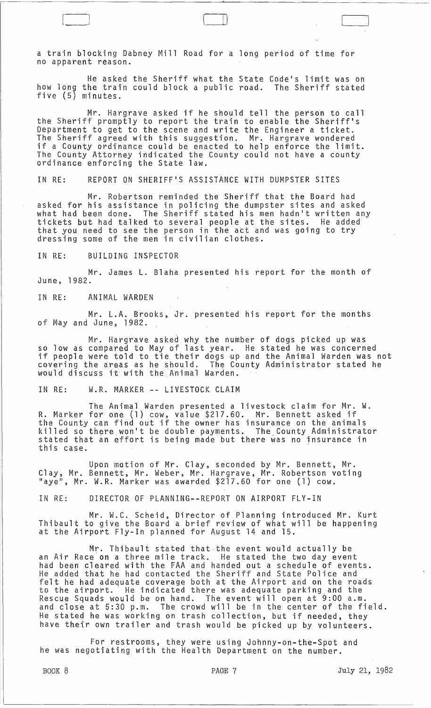a train blocking Dabney Mill Road for a long period of time for no apparent reason.

 $\Box$ 

He asked the Sheriff what the State Code's limit was on<br>he train could block a public road. The Sheriff stated how long the train could block a public road. five (5) minutes.

Mr. Hargrave asked if he should tell the person to call the Sheriff promptly to report the train to enable the Sheriff's Department to get to the scene and write the Engineer a ticket. The Sheriff agreed with this suggestion. Mr. Hargrave wondered if a County ordinance could be enacted to help enforce the limit. The County Attorney indicated the County could not have a county ordinance enforcing the State law.

IN RE: REPORT ON SHERIFF'S ASSISTANCE WITH DUMPSTER SITES

Mr. Robertson reminded the Sheriff that the Board had asked for his assistance in policing the dumpster sites and asked<br>what had been done. The Sheriff stated his men hadn't written an The Sheriff stated his men hadn't written any tickets but had talked to several people at the sites. He added that you need to see the person in the att and was going to try dressing some of the men in civilian clothes.

#### IN RE: BUILDING INSPECTOR

Mr. James L. Blaha presented his report for the month of June, 1982.

IN RE: ANIMAL WARDEN

Mr. L.A. Brooks, Jr. presented his report for the months of May and June, 1982.

Mr. Hargrave asked why the number of dogs picked up was so low as compared to May of last year. He stated he was concerned if people were told to tie their dogs up and the Animal Warden was not covering the areas as he should. The County Administrator stated he would discuss it with the Animal Warden.

## IN RE: W.R. MARKER -- LIVESTOCK CLAIM

The Animal Warden presented a livestock claim for Mr. W. R. Marker for one (1) cow, value \$217.60. Mr. Bennett asked if the County can find out if the owner has insurance on the animals killed so there won't be double payments. The County Administrator stated that an effort is being made but there was no insurance in stated that an errore is being made bac there was no just this case.

Upon motion of Mr. Clay, seconded by Mr. Bennett, Mr.  $\overline{a}$ Clay, Mr. Bennett, Mr. Weber, Mr. Hargrave, Mr. Robertson voting "aye", Mr. W.R. Marker was awarded \$217.60 for one (1) cow.

IN RE: DIRECTOR OF PLANNING--REPORT ON AIRPORT FLY-IN

Mr. W.C. Scheid, Director of Planning introduced Mr. Kurt Thibault to give the Board a brief review of what will be happening at the Airport Fly-In planned for August 14 and 15.

 $Mr.$  Thibault stated that the event would actually be an Air Race'on a three mile track. He stated the two day event had been cleared with the FAA and handed out a schedule of events. He added that he had contacted the Sheriff and State Police and felt he had adequate coverage both at the Airport and on the roads to the had adequate coverage both as the Arrport and on the road Rescue Squads would be on hand. The event will open at 9:00 a.m. and close at 5:30 p.m. The crowd will be in the center of the field. He stated he was working on trash collection, but if needed, they have their own trailer and trash would be picked up by volunteers.

For restrooms, they were using Johnny-on-the-Spot and he was negotjating with the Health Department on the number.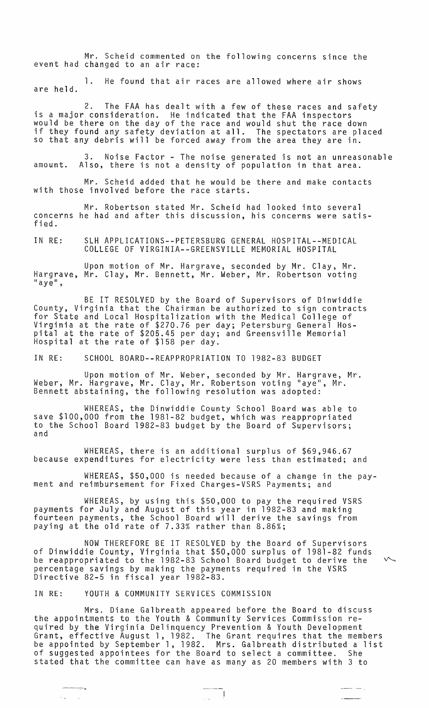Mr. Scheid commented on the following concerns since the event had changed to an air race:

1. He found that air races are allowed where air shows are held.

2. The FAA has dealt with a few of these races and safety<br>is a major consideration. He indicated that the FAA inspectors is a major consideration. He indicated that the FAA inspectors would be there on the day of the race and would shut the race down if they found any safety deviation at all. The spectators are placed so that any debris will be forced away from the area they are in.

3. Noise Factor - The noise generated is not an unreasonable amount. Also, there is not a density of population in that area.

Mr. Scheid added that he would be there and make contacts with those involved before the race starts.

Mr. Robertson stated Mr. Scheid had looked into several concerns he had and after this discussion, his concerns were satisfied.

IN RE: SLH APPLICATIONS--PETERSBURG GENERAL HOSPITAL--MEDICAL COLLEGE OF VIRGINIA--GREENSVILLE MEMORIAL HOSPITAL

Upon motion of Mr. Hargrave, seconded by Mr. Clay, Mr. Hargrave, Mr. Clay, Mr. Bennett, Mr. Weber, Mr. Robertson voting<br>"aye",

BE IT RESOLVED by the Board of Supervisors of Dinwiddie County, Virginia that the Chairman be authorized to sign contracts for State and Local Hospitalization with the Medical College of Virginia at the rate of \$270.76 per day; Petersburg General Hospital at the rate of \$205.45 per day; and Greensville Memorial Hospital at the rate of \$158 per day.

IN RE: SCHOOL BOARD--REAPPROPRIATION TO 1982-83 BUDGET

Upon motion of Mr. Weber, seconded by Mr. Hargrave, Mr. Weber, Mr. Hargrave, Mr. Clay, Mr. Robertson voting "aye", Mr. Bennett abstaining, the following resolution was adopted:

WHEREAS, the Dinwiddie County School Board was able to save \$100,000 from the 1981-82 budget, which was reappropriated to the School Board 1982–83 budget by the Board of Supervisors;<br>and

WHEREAS, there is an additional surplus of \$69,946.67 because expenditures for electricity were less than estimated; and

WHEREAS, \$50,000 is needed because of a change in the payment and reimbursement for Fixed Charges-VSRS Payments; and

WHEREAS, by using this \$50,000 to pay the required VSRS payments for July and August of this year in 1982-83 and making fourteen payments, the School Board will derive the savings from paying at the old rate of 7.33% rather than 8.86%;

NOW THEREFORE BE IT RESOLVED by the Board of Supervisors of Dinwiddie County, Virginia that \$50,000 surplus of 1981-82 funds be reappropriated to the 1982-83 School Board budget to derive the  $~\vee~$ percentage savings by making the payments required in the VSRS Directive 82-5 in fiscal year 1982-83.

IN RE: YOUTH & COMMUNITY SERVICES COMMISSION

---.--~-::>

 $\omega_{\rm{min}}=1$ 

Mrs. Diane Galbreath appeared before the Board to discuss the appointments to the Youth & Community Services Commission required by the Virginia Delinquency Prevention & Youth Development Grant, effective August 1, 1982. The Grant requires that the members be appointed by September 1, 1982. Mrs. Galbreath distributed a list of suggested appointees for the Board to select a committee. She stated that the committee can have as many as 20 members with 3 to

 $\begin{picture}(20,20) \put(0,0){\line(1,0){10}} \put(15,0){\line(1,0){10}} \put(15,0){\line(1,0){10}} \put(15,0){\line(1,0){10}} \put(15,0){\line(1,0){10}} \put(15,0){\line(1,0){10}} \put(15,0){\line(1,0){10}} \put(15,0){\line(1,0){10}} \put(15,0){\line(1,0){10}} \put(15,0){\line(1,0){10}} \put(15,0){\line(1,0){10}} \put(15,0){\line(1$ 

أرابيسان المتسلس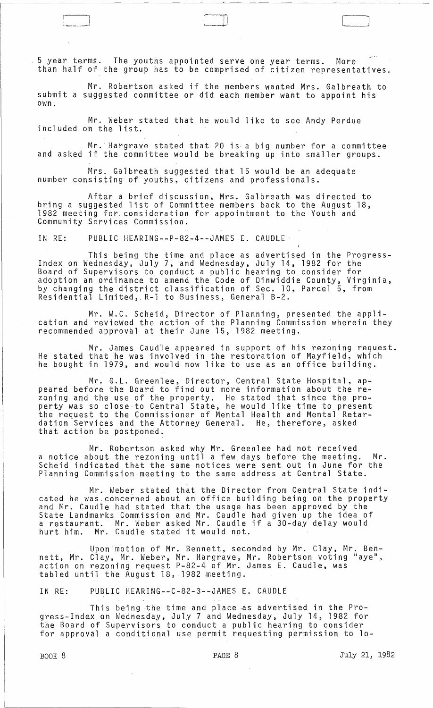5 year terms. The youths appointed serve one year terms. More than half of the group has to be comprised of citizen representatives.

 $\begin{array}{|c|c|c|c|}\hline \quad \quad & \quad \quad & \quad \quad \\ \hline \quad \quad & \quad \quad & \quad \quad \\ \hline \quad \quad & \quad \quad & \quad \quad \\ \hline \quad \quad & \quad \quad & \quad \quad \\ \hline \end{array}$ 

Mr. Robertson asked if the members wanted Mrs. Galbreath to submit a suggested committee or did each member want to appoint his own.

Mr. Weber stated that he would like to see Andy Perdue included on the list.

Mr. Hargrave stated that 20 is a big number for a committee and asked if the committee would be breaking up into smaller groups.

Mrs. Galbreath suggested that 15 would be an adequate number consisting of youths, citizens and professionals.

After a brief discussion, Mrs. Galbreath was directed to bring a suggested list of Committee members back to the August 18, 1982 meeting for. consideration for appointment to the Youth and Community Services Commission.

IN RE: PUBLIC HEARING--P-82-4--JAMES E. CAUDLE·

This being the time and place as advertised in the Progress- Index on Wednesday, July 7, and Wednesday, July 14, 1982 for the Board of Supervisors to conduct a public hearing to consider for adoption an ordinance to amend the Code of Dinwiddie County, Virginia, by changing the district classification of Sec. 10, Parcel 5, from Residential Limited,. R-l to Business, General B-2.

Mr. W.C. Scheid, Director of Planning, presented the application and reviewed the action of the Planning Commission wherein they recommended approval at their June 15, 1982 meeting.

Mr. James Caudle appeared in support of his rezoning request. He stated that he was involved in the restoration of Mayfield, which he bought in 1979, and would now like to use as an office building.

Mr. G.L. Greenlee, Director, Central State Hospital, appeared before the Board to find out more information about the rezoning and the use of the property. He stated that since the property was so close to Central State, he would like time to present the request to the Commissioner of Mental Health and Mental Retardation Services and the Attorney General. He, therefore, asked that action be postponed.

Mr. Robertson asked why Mr. Greenlee had not received a notice about the rezoning until a few days before the meeting. Mr. a notice about the rezoning until a few days before the meeting. Mr.<br>Scheid indicated that the same notices were sent out in June for the Planning Commission meeting to the same address at Central State.

Mr. Weber stated that the Director from Central State indicated he was concerned about an office building being on the property and Mr. Caudle had stated that the usage has been approved by the State Landmarks Commission and Mr. Caudle had given up the idea of a restaurant. Mr. Weber asked Mr. Caudle if a 30-day delay would a restaurant. Mr. weber asked Mr. Caudie<br>hurt him. Mr. Caudle stated it would not.

Upon motion of Mr. Bennett, seconded by Mr. Clay, Mr. Bennett, Mr. Clay, Mr. Weber, Mr. Hargrave, Mr. Robertson voting "aye", action on rezoning request P-82-4 of Mr. James E. Caudle, was tabled until the August 18, 1982 meeting.

IN RE: PUBLIC HEARING--C-82-3--JAMES E. CAUDLE

This being the time and place as advertised in the Progress-Index on Wednesday, July 7 and Wednesday, July 14, 1982 for the Board of Supervisors to conduct a public hearing to consider for approval a conditional use permit requesting permission to 10-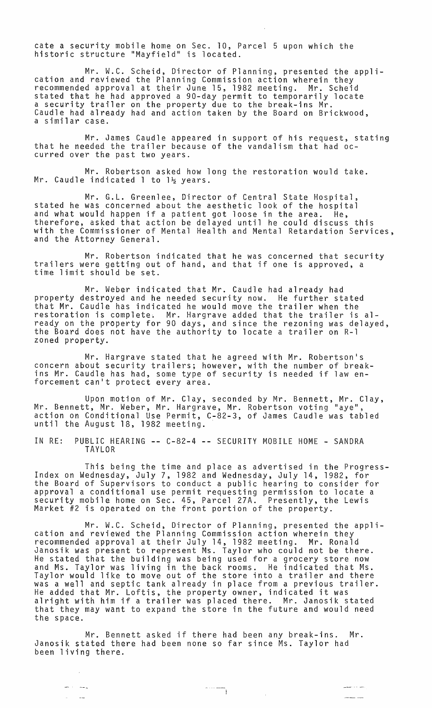cate a security mobile home on Sec. 10, Parcel 5 upon which the historic structure "Mayfield" is located.

Mr. W.C. Scheid, Director of Planning, presented the appli-<br>cation and reviewed the Planning Commission action wherein they<br>recommended approval at their June 15, 1982 meeting. Mr. Scheid stated that he had approved a 90-day permit to temporarily locate a security trailer on the property due to the break-ins Mr. Caudle had already had and action taken by the Board on Brickwood, a similar case.

Mr. James Caudle appeared in support of his request, stating that he needed the trailer because of the vandalism that had occurred over the past two years.

Mr. Robertson asked how long the restoration would take. Mr. Caudle indicated 1 to  $1\frac{1}{2}$  years.

Mr. G.L. Greenlee, Director of Central State Hospital, stated he was concerned about the aesthetic look of the hospital and what would happen if a patient got loose in the area. He, therefore, asked that action be delayed until he could discuss this with the Commissioner of Mental Health and Mental Retardation Services, and the Attorney General.

Mr. Robertson indicated that he was concerned that security trailers were getting out of hand, and that if one is approved, a time limit should be set.

Mr. Weber indicated that Mr. Caudle had already had property destroyed and he needed security now. He further stated that Mr. Caudle has indicated he would move the trailer when the end of the square has that decide the would move the trailer when the already on the property for 90 days, and since the rezoning was delayed, the Board does not have the authority to locate a trailer on R-l zoned property.

Mr. Hargrave stated that he agreed with Mr. Robertson's concern about security trailers; however, with the number of breakins Mr. Caudle has had, some type of security is needed if law enforcement can't protect every area.

Upon motion of Mr. Clay, seconded by Mr. Bennett, Mr. Clay, Mr. Bennett, Mr. Weber, Mr. Hargrave, Mr. Robertson voting "aye", action on Conditional Use Permit, C-82-3, of James Caudle was tabled until the August 18, 1982 meeting.

IN RE: PUBLIC HEARING -- C-82-4 -- SECURITY MOBILE HOME - SANDRA TAYLOR

This being the time and place as advertised in the Progress-Index on Wednesday, July 7, 1982 and Wednesday, July 14, 1982, for the Board of Supervisors to conduct a public hearing to consider for approval a conditional use permit requesting permission to locate a security mobile home on Sec. 45, Parcel 27A. Presently, the Lewis Market #2 is operated on the front portion of the property.

Mr. W.C. Scheid, Director of Planning, presented the appli- cation and reviewed the Planning Commission action wherein they recommended approval at their July 14, 1982 meeting. Mr. Ronald Janosik was present to represent Ms. Taylor who could not be there. He stated that the building was being used for a grocery store now and Ms. Taylor was living in the back rooms. He indicated that Ms. Taylor would like to move out of the store into a trailer and there was a well and septic tank already in place from a previous trailer. was a well and septic tank affeady in prace from a previous tr<br>He added that Mr. Loftis, the property owner, indicated it was alright with him if a trailer was placed there. Mr. Janosik stated that they may want to expand the store in the future and would need the space.

Mr. Bennett asked if there had been any break-ins. Mr. Janosik stated there had been none so far since Ms. Taylor had been living there.

 $\sim 10^7$ 

أرشدت المست

 $\sim$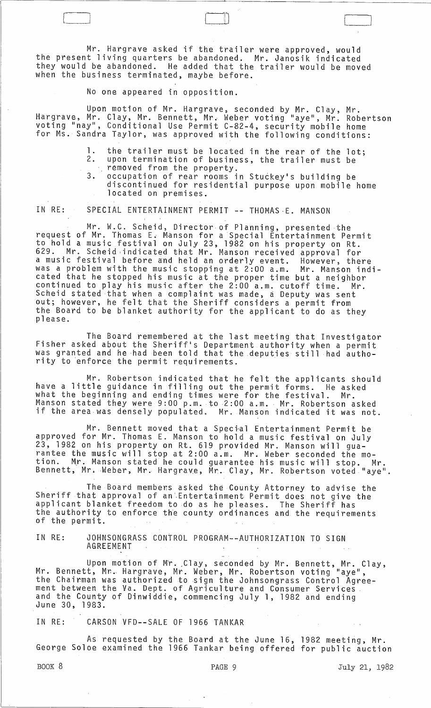Mr. Hargrave asked if the trailer were approved, would the present living quarters be abandoned. Mr. Janosik indicated they would be abandoned. He added that the trailer would be moved when the business terminated, maybe before.

No one appeared in opposition.

Upon motion of Mr. Hargrave~ seconded by Mr. Clay, Mr. Hargrave, Mr. Clay, Mr. Bennett, Mr. Weber voting "aye", Mr. Robertson voting "nay", Conditional Use Permit C-82-4, security mobile home for Ms. Sandra Taylor, was approved with the following conditions:

> 1. the trailer must be located in the rear of the lot; 2. upon termination of business, the trailer must be removed from the property.

3. occupation of rear rooms in Stuckey's building be discontinued for residential purpose upon mobile home located on premises.

[il L\_l

IN RE: SPECIAL ENTERTAINMENT PERMIT -- THOMAS E. MANSON

Mr. W.C. Scheid, Director of Planning, presented the request of Mr. Thomas E~ Manson for a Special Entertainment Permit to hold a music festival on July 23, 1982 on his property on Rt. 629. Mr. Scheid indicated that Mr. Manson received approval for a music festival before and held an orderly event. However, there was a problem with the music stopping at 2:00 a.m. Mr. Manson indicated that he stopped his music at the proper time but a neighbor continued to play his music after the 2:00 a.m. cutoff time. Mr. Scheid stated that when a complaint was made, a Deputy was sent out; however, he felt that the Sheriff considers a permit from the Board to be blanket authority for the applicant to do as they<br>please.

The Board remembered at the last meeting that Investigator Fisher asked about the Sheriff's Department authority when a permit was granted and he ·had been told that the .deputies still had authority to enforce the permit requirements. .

Mr. Robertson indicated that he felt the applicants should have a little guidance in filling out the permit forms. He asked what the beginning and ending times were for the festival. Mr. Manson stated they were 9:00 p.m. to 2:00 a.m. Mr. Robertson asked if the area was densely populated. Mr. Manson indicated it was not.

Mr. Bennett moved that a Special Entertainment Permit be approved for Mr. Thomas E. Manson to hold a music festival on July 23, 1982 on his property on Rt. 619 provided Mr. Manson will guarantee the music will stop at 2:00 a.m. Mr. Weber seconded the motion. Mr. Manson stated he could guarantee his music will stop. Mr. sion: The nanson scaced he courd guarancee his music with scop. Hi.<br>Bennett, Mr. Weber, Mr. Hargrave, Mr. Clay, Mr. Robertson voted "aye".

The Board member:s asked the County Attorney to advise the Sheriff that approval of an',Entertainment Permit does not give the applicant blanket freedom to do as he pleases. The Sheriff has the authority to enforce the county ordinances and the requirements of the permit.

IN RE: JOHNSONGRAS5 CONTROL PROGRAM--AUTHORIZATION TO SIGN AGREEMENT

Upon motion of Mr. Clay, seconded by Mr. Bennett, Mr. Clay, Mr. Bennett, Mr.. Hargrave, Mr. Weber, Mr. Robertson voting "aye", the Chairman was authorized to sign the Johnsongrass Control Agreement between the Va. Dept. of Agriculture and Consumer Services. and the County of Dinwiddie, commencing July 1, 1982 and ending<br>June 30, 1983.

IN RE: CARSON VFD--SALE OF 1966 TANKAR

As requested by the Board at the June 16, 1982 meeting, Mr. George Soloe examined the 1966 Tankar being offered for public auction

BOOK 8 **PAGE 9 PAGE 9 July 21, 1982**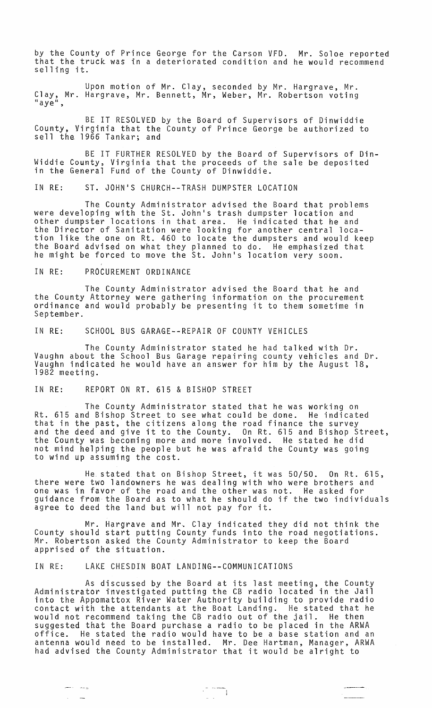by the County of Prince George for the Carson VFD. Mr. Soloe reported that the truck was in a deteriorated condition and he would recommend selling it.

Upon motion of Mr. Clay, seconded by Mr. Hargrave, Mr. Clay, Mr. Hargrave, Mr. Bennett, Mr, Weber, Mr. Robertson voting "aye",

BE IT RESOLVED by the Board of Supervisors of Dinwiddie County, Virginia that the County of Prince George be authorized to sell the 1966 Tankar; and

BE IT FURTHER RESOLVED by the Board of Supervisors of Din-Widdie County, Virginia that the proceeds of the sale be deposited in the General Fund of the County of Dinwiddie.

IN RE: ST. JOHN'S CHURCH--TRASH DUMPSTER LOCATION

The County Administrator advised the Board that problems were developing with the St. John's trash dumpster location and other dumpster locations in that area. He indicated that he and the Director of Sanitation were looking for another central location like the one on Rt. 460 to locate the dumpsters and would keep the Board advised on what they planned to do. He emphasized that he might be forced to move the St. John's location very soon.

## IN RE: PROCUREMENT ORDINANCE

The County Administrator advised the Board that he and the County Attorney were gathering information on the procurement ordinance and would probably be presenting it to them sometime in September.

IN RE: SCHOOL BUS GARAGE--REPAIR OF COUNTY VEHICLES

The County Administrator stated he had talked with Dr. Vaughn about the School Bus Garage repairing county vehicles and Dr. Vaughn indicated he would have an answer for him by the August 18, 1982 meeting.

## IN RE: REPORT ON RT. 615 & BISHOP STREET

The County Administrator stated that he was working on Rt. 615 and Bishop Street to see what could be done. He indicated that in the past, the citizens along the road finance the survey and the deed and give it to the County. On Rt. 615 and Bishop Street, the County was becoming more and more involved. He stated he did not mind helping the people but he was afraid the County was going to wind up assuming the cost.

He. stated that on Bishop Street, it was 50/50. On Rt. 615, there were two landowners he was dealing with who were brothers and one was in favor of the road and the other was not. He asked for guidance from the Board as to what he should do if the two individuals gardance from the board as to what he should do

Mr. Hargrave and Mr. Clay indicated they did not think the County should start putting County funds into the road negotiations. Mr. Robertson asked the County Administrator to keep the Board apprised of the situation.

IN RE: LAKE CHESDIN BOAT LANDING--COMMUNICATIONS

 $\frac{1}{2}$ 

As discussed by the Board at its last meeting, the County Administrator investigated putting the CB radio located in the Jail into the Appomattox River Water Authority building to provide radio contact with the attendants at the Boat Landing. He stated that he would not recommend taking the CB radio out of the jail. He then suggested that the Board purchase a radio to be placed in the ARWA He stated the radio would have to be a base station and an antenna would need to be installed. Mr. Dee Hartman, Manager, ARWA had advised the County Administrator that it would be alright to

 $\frac{1}{2}$  and  $\frac{1}{2}$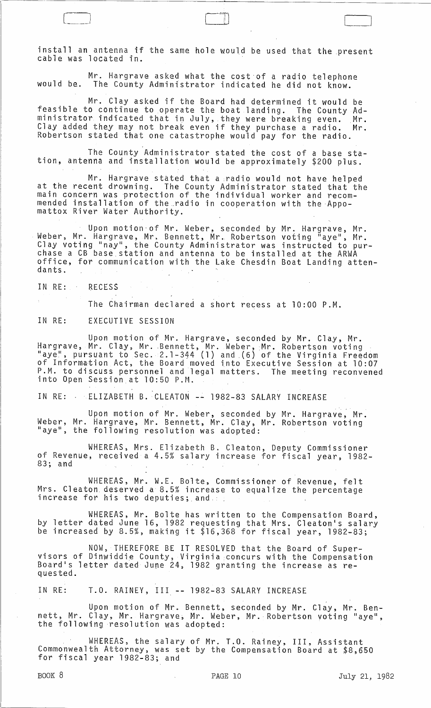install an antenna if the same hole would be used that the present<br>cable was located in.

 $\begin{bmatrix} 1 & 1 & 1 \\ 1 & 1 & 1 \\ 1 & 1 & 1 \end{bmatrix}$ 

Mr. Hargrave asked what the cost of a radio telephone would be. The County Administrator indicated he did not know.

Mr. Clay asked if the Board had determined it would be feasible to continue to operate the boat landing. The County Adfeasible to continue to operate the boat landing. The County Ad-<br>ministrator indicated that in July, they were breaking even. Mr. Clay added they may not break even if they purchase a radio. Mr. Robertson stated that one catastrophe would pay for the radio.

The County Administrator stated the cost of a base station, antenna and installation would be approximately \$200 plus.

Mr. Hargrave stated that a radio would not have helped at the recent drowning. The County Administrator stated that the main concern was protection of the individual worker and recommended installation of the radio in cooperation with the Appomattox River Water Authority.

Upon motion-of Mr. Weber, seconded by Mr. Hargrave, Mr. Weber, Mr. Hargrave, Mr. Bennett, Mr. Robertson voting "aye", Mr. Clay voting "nay", the County Administrator was instructed to purchase a CB base station and antenna to be installed at the ARWA office, for communication with the Lake Chesdin Boat Landing attendants.

IN RE: RECESS

The Chairman declared a short recess at 10:00 P.M.

IN RE: EXECUTIVE SESSION

Upon motion of Mr. Hargrave, seconded by Mr. Clay, Mr. Hargrave, Mr. Clay, Mr. Bennett, Mr. Weber, Mr. Robertson voting "aye", pursuant to Sec. 2.1-344 (1) and (6) of the Virginia Freedom of Information Act, the Board moved into Executive Session at 10:07 P.M. to discuss personnel and legal matters. The meeting reconvened into Open Session at 10:50 P.M.

IN RE: ELIZABETH B. CLEATON -- 1982-83 SALARY INCREASE

Upon motion of Mr. Weber, seconded by Mr. Hargrave, Mr. Weber, Mr. Hargrave, Mr. Bennett, Mr. Clay, Mr. Robertson voting<br>"aye", the following resolution was adopted:

WHEREAS, Mrs. Elizabeth B. Cleaton, Deputy Commissioner of Revenue, received a 4.5% salary increase for fiscal year, 1982- 83; and

WHEREAS, Mr. W.E. Bolte, Commissioner of Revenue, felt Mrs. Cleaton deserved a 8.5% increase to equalize the percentage<br>increase for his two deputies; and...

WHEREAS, Mr. Bolte has written to the Compensation Board, by letter dated June 16, 1982 requesting that Mrs. Cleaton's salary be increased by 8.5%, making it \$16,368 for fiscal year, 1982-83;

NOW, THEREFORE BE IT RESOLVED that the Board of Supervisors of Dinwiddie County, Virginia concurs with the Compensation<br>Board's letter dated June 24, 1982 granting the increase as requested.

IN RE: T.O. RAINEY, III -- 1982-83 SALARY INCREASE

Upon motion of Mr. Bennett, seconded by Mr. Clay, Mr. Bennett, Mr. Clay, Mr. Hargrave, Mr. Weber, Mr. Robertson voting "aye",<br>the following resolution was adopted:

WHEREAS, the salary of Mr. T.O. Rainey, III, Assistant Commonwealth Attorney, was set by the Compensation Board at \$8,650 for fiscal year 1982-83; and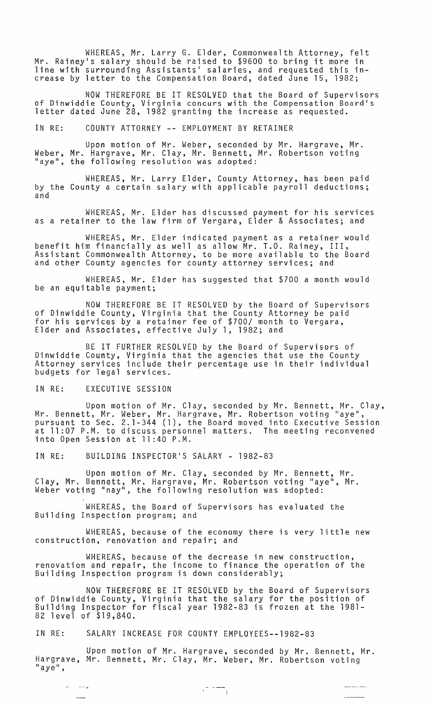WHEREAS, Mr. Larry G. Elder, Commonwealth Attorney, felt Mr. Rainey's salary should be raised to \$9600 to bring it more in line with surrounding Assistants· salaries, and requested this increase by letter to the Compensation Board, dated June 15, 1982;

NOW THEREFORE BE IT RESOLVED that the Board of Supervisors of Dinwiddie County, Virginia concurs with the Compensation Board·s letter dated June 28, 1982 granting the increase as requested.

IN RE: COUNTY ATTORNEY **--** EMPLOYMENT BY RETAINER

Upon motion of Mr. Weber, seconded by Mr. Hargrave, Mr. Weber, Mr. Hargrave, Mr. Clay, Mr. Bennett, Mr. Robertson voting "aye", the following resolution was adopted:

WHEREAS, Mr. Larry Elder, County Attorney, has been paid by the County a certain salary with applicable payroll deductions; and

WHEREAS, Mr. Elder has discussed payment for his services as a retainer to the law firm of Vergara, Elder & Associates; and

WHEREAS, Mr. Elder indicated payment as a retainer would benefit him financially as well as allow Mr. T.O. Rainey, III, Assistant Commonwealth Attorney, to be more available to the Board and other County agencies for county attorney services; and

WHEREAS, Mr. Elder has suggested that \$700 a month would be an equitable payment;

NOW THEREFORE BE IT RESOLVED by the Board of Supervisors of Dinwiddie County, Virginia that the County Attorney be paid for his services by a retainer fee of \$700/ month to Vergara, Elder and Associates, effective July 1, 1982; and

BE IT FURTHER RESOLVED by the Board of Supervisors of Dinwiddie County, Virginia that the agencies that use the County Attorney services include their percentage use in their individual budgets for legal services.

#### IN RE: EXECUTIVE SESSION

وسباب المد

Upon motion of Mr. Clay, seconded by Mr. Bennett, Mr. Clay, Mr. Bennett, Mr. Weber, Mr. Hargrave, Mr. Robertson voting "aye", pursuant to Sec. 2.1-344 (1), the Board moved into Executive Session at 11:07 P.M. to discuss personnel matters. The meeting reconvened into Open Session at 11 :40 P.M.

IN RE: BUILDING INSPECTOR'S SALARY - 1982-83

Upon motion of Mr. Clay, seconded by Mr. Bennett, Mr. Clay, Mr. Bennett, Mr. Hargrave, Mr. Robertson voting "aye", Mr. Weber voting "nay", the following resolution was adopted:

WHEREAS, the Board of Supervisors has evaluated the Building Inspection program; and

WHEREAS, because of the economy there is very little new construction, renovation and repair; and

WHEREAS, because of the decrease in new construction, renovation and repair, the income to finance the operation of the Building Inspection program is down considerably;

NOW THEREFORE BE IT RESOLVED by the Board of Supervisors of Dinwiddie County, Virginia that the salary for the position of Building Inspector for fiscal year 1982-83 is frozen at the 1981- 82 level of \$19,840.

IN RE: SALARY INCREASE FOR COUNTY EMPLOYEES--1982-83

Upon motion of Mr. Hargrave, seconded by Mr. Bennett, Mr. Hargrave, Mr. Bennett, Mr. Clay, Mr. Weber, Mr. Robertson voting<br>"aye",

 $\begin{picture}(180,10) \put(0,0){\line(1,0){10}} \put(10,0){\line(1,0){10}} \put(10,0){\line(1,0){10}} \put(10,0){\line(1,0){10}} \put(10,0){\line(1,0){10}} \put(10,0){\line(1,0){10}} \put(10,0){\line(1,0){10}} \put(10,0){\line(1,0){10}} \put(10,0){\line(1,0){10}} \put(10,0){\line(1,0){10}} \put(10,0){\line(1,0){10}} \put(10,0){\line($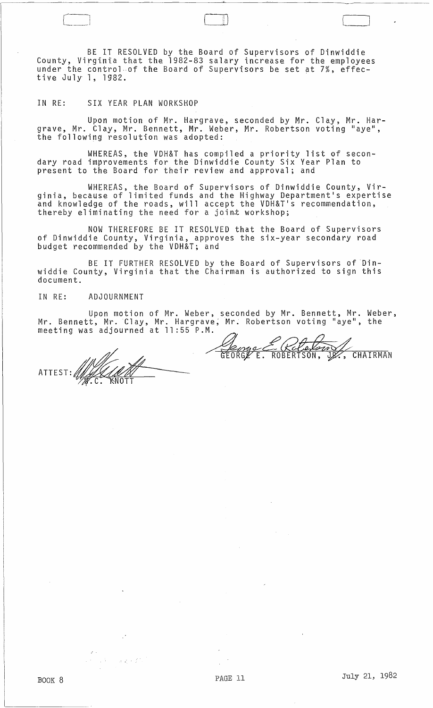BE IT RESOLVED by the Board of Supervisors of Dinwiddie County, Virginia that the 1982-83 salary increase for the employees under the control of the Board of Supervisors be set at 7%, effective July 1, 1982.

IN RE: SIX YEAR PLAN WORKSHOP

Upon motion of Mr. Hargrave, seconded by Mr. Clay, Mr. Hargrave, Mr. Clay, Mr. Bennett, Mr. Weber, Mr. Robertson voting "aye",<br>the following resolution was adopted:

WHEREAS, the VDH&T has compiled a priority list of secondary road improvements for the Dinwiddie County Six Year Plan to present to the Board for their review and approval; and

WHEREAS, the Board of Supervisors of Dinwiddie County, Virginia, because of limited funds and the Highway Department's expertise and knowledge of the roads, will accept the VDH&T's recommendation, thereby eliminating the need for a joint workshop;

NOW THEREFORE BE IT RESOLVED that the Board of Supervisors of Dinwiddie County, Virginia, approves the six-year secondary road budget recommended by the VDH&T; and

BE IT FURTHER RESOLVED by the Board of Supervisors of Dinwiddie County, Virginia that the Chairman is authorized to sign this document.

# IN RE: ADJOURNMENT

Upon motion of Mr. Weber, seconded by Mr. Bennett, Mr. Weber, Mr. Bennett, Mr. Clay, Mr. Hargrave; Mr. Robertson voting "aye", the meeting was adjourned at 11 :55 P.M.

ROBERT

Έ.

ATTEST:~. /,; .C. NOTT

 $\mathbb{R}^2 \times \mathbb{Z}^2$ 

**CHAIRMAN** 

]

BOOK 8